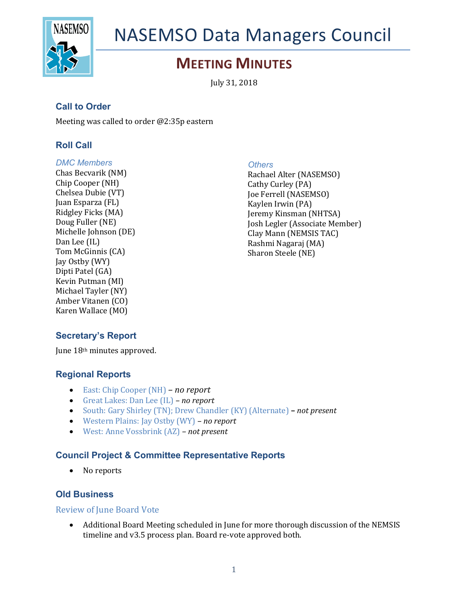

# NASEMSO Data Managers Council

# **MEETING MINUTES**

July 31, 2018

# **Call to Order**

Meeting was called to order  $@2:35p$  eastern

## **Roll Call**

#### *DMC Members*

Chas Becvarik (NM) Chip Cooper (NH) Chelsea Dubie (VT) Juan Esparza (FL) Ridgley Ficks (MA) Doug Fuller (NE) Michelle Johnson (DE) Dan Lee (IL) Tom McGinnis (CA) Jay Ostby (WY) Dipti Patel (GA) Kevin Putman (MI) Michael Tayler (NY) Amber Vitanen (CO) Karen Wallace (MO)

#### *Others*

Rachael Alter (NASEMSO) Cathy Curley (PA) Joe Ferrell (NASEMSO) Kaylen Irwin (PA) Jeremy Kinsman (NHTSA) Josh Legler (Associate Member) Clay Mann (NEMSIS TAC) Rashmi Nagaraj (MA) Sharon Steele (NE)

# **Secretary's Report**

June 18<sup>th</sup> minutes approved.

#### **Regional Reports**

- East: Chip Cooper (NH) *– no report*
- Great Lakes: Dan Lee (IL) *no report*
- South: Gary Shirley (TN); Drew Chandler (KY) (Alternate) *not present*
- Western Plains: Jay Ostby (WY) *– no report*
- West: Anne Vossbrink (AZ) *not present*

#### **Council Project & Committee Representative Reports**

• No reports

### **Old Business**

#### **Review of June Board Vote**

• Additional Board Meeting scheduled in June for more thorough discussion of the NEMSIS timeline and v3.5 process plan. Board re-vote approved both.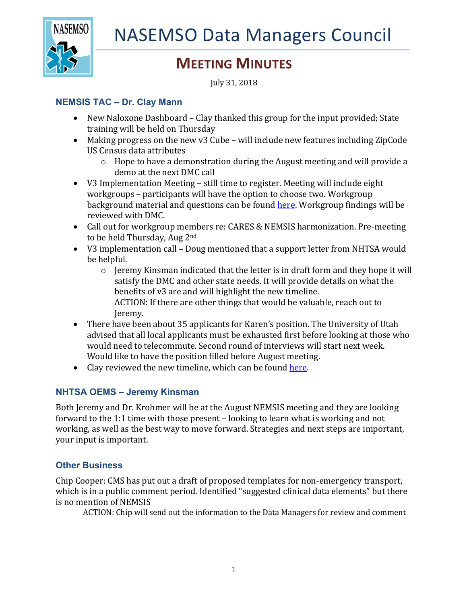

# **MEETING MINUTES**

July 31, 2018

# **NEMSIS TAC – Dr. Clay Mann**

- New Naloxone Dashboard Clay thanked this group for the input provided; State training will be held on Thursday
- Making progress on the new v3 Cube will include new features including ZipCode US Census data attributes
	- $\circ$  Hope to have a demonstration during the August meeting and will provide a demo at the next DMC call
- V3 Implementation Meeting still time to register. Meeting will include eight workgroups - participants will have the option to choose two. Workgroup background material and questions can be found here. Workgroup findings will be reviewed with DMC.
- Call out for workgroup members re: CARES & NEMSIS harmonization. Pre-meeting to be held Thursday, Aug 2<sup>nd</sup>
- V3 implementation call Doug mentioned that a support letter from NHTSA would be helpful.
	- $\circ$  Jeremy Kinsman indicated that the letter is in draft form and they hope it will satisfy the DMC and other state needs. It will provide details on what the benefits of v3 are and will highlight the new timeline. ACTION: If there are other things that would be valuable, reach out to Jeremy.
- There have been about 35 applicants for Karen's position. The University of Utah advised that all local applicants must be exhausted first before looking at those who would need to telecommute. Second round of interviews will start next week. Would like to have the position filled before August meeting.
- Clay reviewed the new timeline, which can be found here.

# **NHTSA OEMS – Jeremy Kinsman**

Both Jeremy and Dr. Krohmer will be at the August NEMSIS meeting and they are looking forward to the 1:1 time with those present  $-$  looking to learn what is working and not working, as well as the best way to move forward. Strategies and next steps are important, your input is important.

# **Other Business**

Chip Cooper: CMS has put out a draft of proposed templates for non-emergency transport, which is in a public comment period. Identified "suggested clinical data elements" but there is no mention of NEMSIS

ACTION: Chip will send out the information to the Data Managers for review and comment